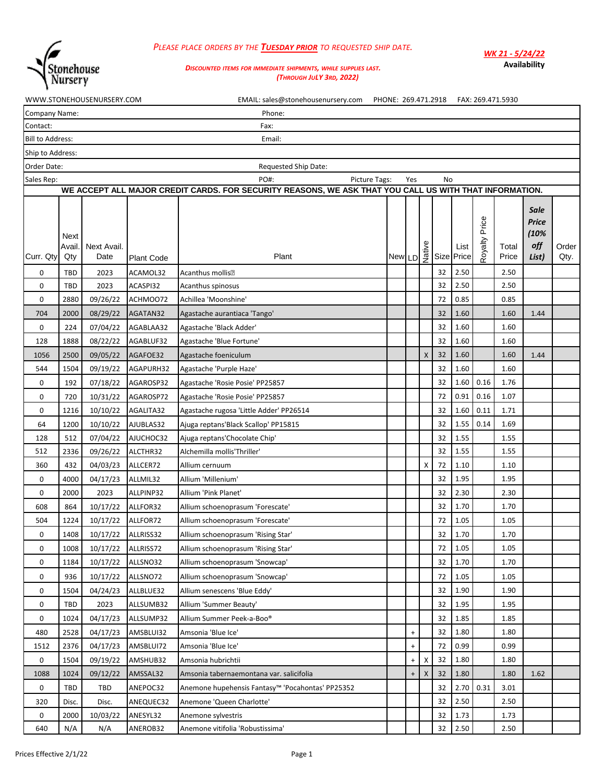

## *PLEASE PLACE ORDERS BY THE TUESDAY PRIOR TO REQUESTED SHIP DATE.*

*WK 21 - 5/24/22* **Availability**

## *DISCOUNTED ITEMS FOR IMMEDIATE SHIPMENTS, WHILE SUPPLIES LAST. (THROUGH JULY 3RD, 2022)*

|                         |                      | WWW.STONEHOUSENURSERY.COM |                   | EMAIL: sales@stonehousenursery.com PHONE: 269.471.2918 FAX: 269.471.5930                               |                       |           |   |    |                    |                  |                |                                              |               |
|-------------------------|----------------------|---------------------------|-------------------|--------------------------------------------------------------------------------------------------------|-----------------------|-----------|---|----|--------------------|------------------|----------------|----------------------------------------------|---------------|
| Company Name:           |                      |                           |                   | Phone:                                                                                                 |                       |           |   |    |                    |                  |                |                                              |               |
| Contact:                |                      |                           |                   | Fax:                                                                                                   |                       |           |   |    |                    |                  |                |                                              |               |
| <b>Bill to Address:</b> |                      |                           |                   | Email:                                                                                                 |                       |           |   |    |                    |                  |                |                                              |               |
| Ship to Address:        |                      |                           |                   |                                                                                                        |                       |           |   |    |                    |                  |                |                                              |               |
| Order Date:             |                      |                           |                   | <b>Requested Ship Date:</b>                                                                            |                       |           |   |    |                    |                  |                |                                              |               |
| Sales Rep:              |                      |                           |                   | PO#:<br>Picture Tags:                                                                                  |                       | Yes       |   | No |                    |                  |                |                                              |               |
|                         |                      |                           |                   | WE ACCEPT ALL MAJOR CREDIT CARDS. FOR SECURITY REASONS, WE ASK THAT YOU CALL US WITH THAT INFORMATION. |                       |           |   |    |                    |                  |                |                                              |               |
| Curr. Qty               | Next<br>Avail<br>Qty | Next Avail.<br>Date       | <b>Plant Code</b> | Plant                                                                                                  | New LD 3 <sup>9</sup> |           |   |    | List<br>Size Price | Price<br>Royalty | Total<br>Price | <b>Sale</b><br>Price<br>(10%<br>off<br>List) | Order<br>Qty. |
| 0                       | <b>TBD</b>           | 2023                      | ACAMOL32          | Acanthus mollis•                                                                                       |                       |           |   | 32 | 2.50               |                  | 2.50           |                                              |               |
| 0                       | <b>TBD</b>           | 2023                      | ACASPI32          | Acanthus spinosus                                                                                      |                       |           |   | 32 | 2.50               |                  | 2.50           |                                              |               |
| 0                       | 2880                 | 09/26/22                  | ACHMOO72          | Achillea 'Moonshine'                                                                                   |                       |           |   | 72 | 0.85               |                  | 0.85           |                                              |               |
| 704                     | 2000                 | 08/29/22                  | AGATAN32          | Agastache aurantiaca 'Tango'                                                                           |                       |           |   | 32 | 1.60               |                  | 1.60           | 1.44                                         |               |
| 0                       | 224                  | 07/04/22                  | AGABLAA32         | Agastache 'Black Adder'                                                                                |                       |           |   | 32 | 1.60               |                  | 1.60           |                                              |               |
| 128                     | 1888                 | 08/22/22                  | AGABLUF32         | Agastache 'Blue Fortune'                                                                               |                       |           |   | 32 | 1.60               |                  | 1.60           |                                              |               |
| 1056                    | 2500                 | 09/05/22                  | AGAFOE32          | Agastache foeniculum                                                                                   |                       |           | X | 32 | 1.60               |                  | 1.60           | 1.44                                         |               |
| 544                     | 1504                 | 09/19/22                  | AGAPURH32         | Agastache 'Purple Haze'                                                                                |                       |           |   | 32 | 1.60               |                  | 1.60           |                                              |               |
| 0                       | 192                  | 07/18/22                  | AGAROSP32         | Agastache 'Rosie Posie' PP25857                                                                        |                       |           |   | 32 | 1.60               | 0.16             | 1.76           |                                              |               |
| 0                       | 720                  | 10/31/22                  | AGAROSP72         | Agastache 'Rosie Posie' PP25857                                                                        |                       |           |   | 72 | 0.91               | 0.16             | 1.07           |                                              |               |
| 0                       | 1216                 | 10/10/22                  | AGALITA32         | Agastache rugosa 'Little Adder' PP26514                                                                |                       |           |   | 32 | 1.60               | 0.11             | 1.71           |                                              |               |
| 64                      | 1200                 | 10/10/22                  | AJUBLAS32         | Ajuga reptans'Black Scallop' PP15815                                                                   |                       |           |   | 32 | 1.55               | 0.14             | 1.69           |                                              |               |
| 128                     | 512                  | 07/04/22                  | AJUCHOC32         | Ajuga reptans' Chocolate Chip'                                                                         |                       |           |   | 32 | 1.55               |                  | 1.55           |                                              |               |
| 512                     | 2336                 | 09/26/22                  | ALCTHR32          | Alchemilla mollis'Thriller'                                                                            |                       |           |   | 32 | 1.55               |                  | 1.55           |                                              |               |
| 360                     | 432                  | 04/03/23                  | ALLCER72          | Allium cernuum                                                                                         |                       |           | X | 72 | 1.10               |                  | 1.10           |                                              |               |
| 0                       | 4000                 | 04/17/23                  | ALLMIL32          | Allium 'Millenium'                                                                                     |                       |           |   | 32 | 1.95               |                  | 1.95           |                                              |               |
| 0                       | 2000                 | 2023                      | ALLPINP32         | Allium 'Pink Planet'                                                                                   |                       |           |   | 32 | 2.30               |                  | 2.30           |                                              |               |
| 608                     | 864                  | 10/17/22                  | ALLFOR32          | Allium schoenoprasum 'Forescate'                                                                       |                       |           |   | 32 | 1.70               |                  | 1.70           |                                              |               |
| 504                     | 1224                 | 10/17/22                  | ALLFOR72          | Allium schoenoprasum 'Forescate'                                                                       |                       |           |   | 72 | 1.05               |                  | 1.05           |                                              |               |
| 0                       | 1408                 | 10/17/22 ALLRISS32        |                   | Allium schoenoprasum 'Rising Star'                                                                     |                       |           |   | 32 | 1.70               |                  | 1.70           |                                              |               |
| 0                       | 1008                 | 10/17/22                  | ALLRISS72         | Allium schoenoprasum 'Rising Star'                                                                     |                       |           |   | 72 | 1.05               |                  | 1.05           |                                              |               |
| 0                       | 1184                 | 10/17/22                  | ALLSNO32          | Allium schoenoprasum 'Snowcap'                                                                         |                       |           |   | 32 | 1.70               |                  | 1.70           |                                              |               |
| 0                       | 936                  | 10/17/22                  | ALLSNO72          | Allium schoenoprasum 'Snowcap'                                                                         |                       |           |   | 72 | 1.05               |                  | 1.05           |                                              |               |
| 0                       | 1504                 | 04/24/23                  | ALLBLUE32         | Allium senescens 'Blue Eddy'                                                                           |                       |           |   | 32 | 1.90               |                  | 1.90           |                                              |               |
| 0                       | <b>TBD</b>           | 2023                      | ALLSUMB32         | Allium 'Summer Beauty'                                                                                 |                       |           |   | 32 | 1.95               |                  | 1.95           |                                              |               |
| 0                       | 1024                 | 04/17/23                  | ALLSUMP32         | Allium Summer Peek-a-Boo®                                                                              |                       |           |   | 32 | 1.85               |                  | 1.85           |                                              |               |
| 480                     | 2528                 | 04/17/23                  | AMSBLUI32         | Amsonia 'Blue Ice'                                                                                     |                       | $\ddot{}$ |   | 32 | 1.80               |                  | 1.80           |                                              |               |
| 1512                    | 2376                 | 04/17/23                  | AMSBLUI72         | Amsonia 'Blue Ice'                                                                                     |                       | $\ddot{}$ |   | 72 | 0.99               |                  | 0.99           |                                              |               |
| 0                       | 1504                 | 09/19/22                  | AMSHUB32          | Amsonia hubrichtii                                                                                     |                       | $\ddot{}$ | х | 32 | 1.80               |                  | 1.80           |                                              |               |
| 1088                    | 1024                 | 09/12/22                  | AMSSAL32          | Amsonia tabernaemontana var. salicifolia                                                               |                       | $\ddot{}$ | X | 32 | 1.80               |                  | 1.80           | 1.62                                         |               |
| 0                       | <b>TBD</b>           | TBD                       | ANEPOC32          | Anemone hupehensis Fantasy™ 'Pocahontas' PP25352                                                       |                       |           |   | 32 | 2.70               | 0.31             | 3.01           |                                              |               |
| 320                     | Disc.                | Disc.                     | ANEQUEC32         | Anemone 'Queen Charlotte'                                                                              |                       |           |   | 32 | 2.50               |                  | 2.50           |                                              |               |
| 0                       | 2000                 | 10/03/22                  | ANESYL32          | Anemone sylvestris                                                                                     |                       |           |   | 32 | 1.73               |                  | 1.73           |                                              |               |
| 640                     | N/A                  | N/A                       | ANEROB32          | Anemone vitifolia 'Robustissima'                                                                       |                       |           |   | 32 | 2.50               |                  | 2.50           |                                              |               |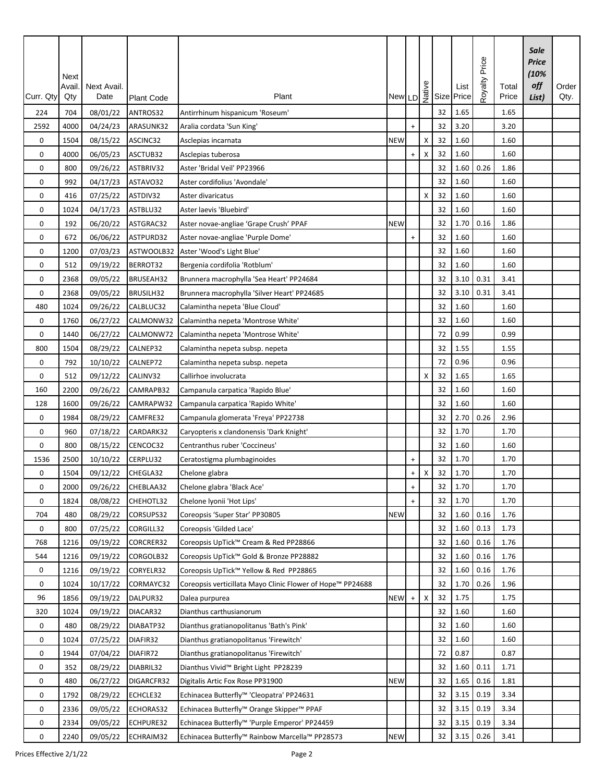|           | Next<br>Avail | Next Avail. |                   |                                                            |            |                                  |   |    | New LD $\frac{2}{\frac{19}{2}}$ Size Price | Price<br>Royalty | Total | <b>Sale</b><br>Price<br>(10%<br>off | Order |
|-----------|---------------|-------------|-------------------|------------------------------------------------------------|------------|----------------------------------|---|----|--------------------------------------------|------------------|-------|-------------------------------------|-------|
| Curr. Qty | Qty           | Date        | <b>Plant Code</b> | Plant                                                      |            |                                  |   |    |                                            |                  | Price | List)                               | Qty.  |
| 224       | 704           | 08/01/22    | ANTROS32          | Antirrhinum hispanicum 'Roseum'                            |            |                                  |   | 32 | 1.65                                       |                  | 1.65  |                                     |       |
| 2592      | 4000          | 04/24/23    | ARASUNK32         | Aralia cordata 'Sun King'                                  |            | $+$                              |   | 32 | 3.20                                       |                  | 3.20  |                                     |       |
| 0         | 1504          | 08/15/22    | ASCINC32          | Asclepias incarnata                                        | <b>NEW</b> |                                  | Χ | 32 | 1.60                                       |                  | 1.60  |                                     |       |
| 0         | 4000          | 06/05/23    | ASCTUB32          | Asclepias tuberosa                                         |            | $\ddot{}$                        | X | 32 | 1.60                                       |                  | 1.60  |                                     |       |
| 0         | 800           | 09/26/22    | ASTBRIV32         | Aster 'Bridal Veil' PP23966                                |            |                                  |   | 32 | 1.60                                       | 0.26             | 1.86  |                                     |       |
| 0         | 992           | 04/17/23    | ASTAVO32          | Aster cordifolius 'Avondale'                               |            |                                  |   | 32 | 1.60                                       |                  | 1.60  |                                     |       |
| 0         | 416           | 07/25/22    | ASTDIV32          | Aster divaricatus                                          |            |                                  | X | 32 | 1.60                                       |                  | 1.60  |                                     |       |
| 0         | 1024          | 04/17/23    | ASTBLU32          | Aster laevis 'Bluebird'                                    |            |                                  |   | 32 | 1.60                                       |                  | 1.60  |                                     |       |
| 0         | 192           | 06/20/22    | ASTGRAC32         | Aster novae-angliae 'Grape Crush' PPAF                     | <b>NEW</b> |                                  |   | 32 | 1.70                                       | 0.16             | 1.86  |                                     |       |
| 0         | 672           | 06/06/22    | ASTPURD32         | Aster novae-angliae 'Purple Dome'                          |            | $\ddot{}$                        |   | 32 | 1.60                                       |                  | 1.60  |                                     |       |
| 0         | 1200          | 07/03/23    | ASTWOOLB32        | Aster 'Wood's Light Blue'                                  |            |                                  |   | 32 | 1.60                                       |                  | 1.60  |                                     |       |
| 0         | 512           | 09/19/22    | BERROT32          | Bergenia cordifolia 'Rotblum'                              |            |                                  |   | 32 | 1.60                                       |                  | 1.60  |                                     |       |
| 0         | 2368          | 09/05/22    | BRUSEAH32         | Brunnera macrophylla 'Sea Heart' PP24684                   |            |                                  |   | 32 | 3.10                                       | 0.31             | 3.41  |                                     |       |
| 0         | 2368          | 09/05/22    | BRUSILH32         | Brunnera macrophylla 'Silver Heart' PP24685                |            |                                  |   | 32 | 3.10                                       | 0.31             | 3.41  |                                     |       |
| 480       | 1024          | 09/26/22    | CALBLUC32         | Calamintha nepeta 'Blue Cloud'                             |            |                                  |   | 32 | 1.60                                       |                  | 1.60  |                                     |       |
| 0         | 1760          | 06/27/22    | CALMONW32         | Calamintha nepeta 'Montrose White'                         |            |                                  |   | 32 | 1.60                                       |                  | 1.60  |                                     |       |
| 0         | 1440          | 06/27/22    | CALMONW72         | Calamintha nepeta 'Montrose White'                         |            |                                  |   | 72 | 0.99                                       |                  | 0.99  |                                     |       |
| 800       | 1504          | 08/29/22    | CALNEP32          | Calamintha nepeta subsp. nepeta                            |            |                                  |   | 32 | 1.55                                       |                  | 1.55  |                                     |       |
| 0         | 792           | 10/10/22    | CALNEP72          | Calamintha nepeta subsp. nepeta                            |            |                                  |   | 72 | 0.96                                       |                  | 0.96  |                                     |       |
| 0         | 512           | 09/12/22    | CALINV32          | Callirhoe involucrata                                      |            |                                  | X | 32 | 1.65                                       |                  | 1.65  |                                     |       |
| 160       | 2200          | 09/26/22    | CAMRAPB32         | Campanula carpatica 'Rapido Blue'                          |            |                                  |   | 32 | 1.60                                       |                  | 1.60  |                                     |       |
| 128       | 1600          | 09/26/22    | CAMRAPW32         | Campanula carpatica 'Rapido White'                         |            |                                  |   | 32 | 1.60                                       |                  | 1.60  |                                     |       |
| 0         | 1984          | 08/29/22    | CAMFRE32          | Campanula glomerata 'Freya' PP22738                        |            |                                  |   | 32 | 2.70                                       | 0.26             | 2.96  |                                     |       |
| 0         | 960           | 07/18/22    | CARDARK32         | Caryopteris x clandonensis 'Dark Knight'                   |            |                                  |   | 32 | 1.70                                       |                  | 1.70  |                                     |       |
| 0         | 800           | 08/15/22    | CENCOC32          | Centranthus ruber 'Coccineus'                              |            |                                  |   | 32 | 1.60                                       |                  | 1.60  |                                     |       |
| 1536      | 2500          | 10/10/22    | CERPLU32          | Ceratostigma plumbaginoides                                |            | $\ddot{}$                        |   | 32 | 1.70                                       |                  | 1.70  |                                     |       |
| 0         | 1504          | 09/12/22    | CHEGLA32          | Chelone glabra                                             |            | $\ddot{}$                        | X | 32 | 1.70                                       |                  | 1.70  |                                     |       |
| 0         | 2000          | 09/26/22    | CHEBLAA32         | Chelone glabra 'Black Ace'                                 |            | $\ddot{}$                        |   | 32 | 1.70                                       |                  | 1.70  |                                     |       |
| 0         | 1824          | 08/08/22    | CHEHOTL32         | Chelone Ivonii 'Hot Lips'                                  |            | $+$                              |   | 32 | 1.70                                       |                  | 1.70  |                                     |       |
| 704       | 480           | 08/29/22    | CORSUPS32         | Coreopsis 'Super Star' PP30805                             | <b>NEW</b> |                                  |   | 32 | 1.60                                       | 0.16             | 1.76  |                                     |       |
| 0         | 800           | 07/25/22    | CORGILL32         | Coreopsis 'Gilded Lace'                                    |            |                                  |   | 32 | 1.60                                       | 0.13             | 1.73  |                                     |       |
| 768       | 1216          | 09/19/22    | CORCRER32         | Coreopsis UpTick™ Cream & Red PP28866                      |            |                                  |   | 32 | 1.60                                       | 0.16             | 1.76  |                                     |       |
| 544       | 1216          | 09/19/22    | CORGOLB32         | Coreopsis UpTick™ Gold & Bronze PP28882                    |            |                                  |   | 32 | 1.60                                       | 0.16             | 1.76  |                                     |       |
| 0         | 1216          | 09/19/22    | CORYELR32         | Coreopsis UpTick™ Yellow & Red PP28865                     |            |                                  |   | 32 | 1.60                                       | 0.16             | 1.76  |                                     |       |
| 0         | 1024          | 10/17/22    | CORMAYC32         | Coreopsis verticillata Mayo Clinic Flower of Hope™ PP24688 |            |                                  |   | 32 | 1.70                                       | 0.26             | 1.96  |                                     |       |
| 96        | 1856          | 09/19/22    | DALPUR32          | Dalea purpurea                                             | <b>NEW</b> | $\begin{array}{c} + \end{array}$ | Χ | 32 | 1.75                                       |                  | 1.75  |                                     |       |
| 320       | 1024          | 09/19/22    | DIACAR32          | Dianthus carthusianorum                                    |            |                                  |   | 32 | 1.60                                       |                  | 1.60  |                                     |       |
| 0         | 480           | 08/29/22    | DIABATP32         | Dianthus gratianopolitanus 'Bath's Pink'                   |            |                                  |   | 32 | 1.60                                       |                  | 1.60  |                                     |       |
|           |               |             | DIAFIR32          |                                                            |            |                                  |   | 32 | 1.60                                       |                  | 1.60  |                                     |       |
| 0         | 1024          | 07/25/22    |                   | Dianthus gratianopolitanus 'Firewitch'                     |            |                                  |   | 72 | 0.87                                       |                  | 0.87  |                                     |       |
| 0         | 1944          | 07/04/22    | DIAFIR72          | Dianthus gratianopolitanus 'Firewitch'                     |            |                                  |   |    |                                            |                  |       |                                     |       |
| 0         | 352           | 08/29/22    | DIABRIL32         | Dianthus Vivid <sup>™</sup> Bright Light PP28239           |            |                                  |   | 32 | 1.60                                       | 0.11             | 1.71  |                                     |       |
| 0         | 480           | 06/27/22    | DIGARCFR32        | Digitalis Artic Fox Rose PP31900                           | <b>NEW</b> |                                  |   | 32 | 1.65                                       | 0.16             | 1.81  |                                     |       |
| 0         | 1792          | 08/29/22    | ECHCLE32          | Echinacea Butterfly™ 'Cleopatra' PP24631                   |            |                                  |   | 32 | 3.15                                       | 0.19             | 3.34  |                                     |       |
| 0         | 2336          | 09/05/22    | ECHORAS32         | Echinacea Butterfly™ Orange Skipper™ PPAF                  |            |                                  |   | 32 | 3.15                                       | 0.19             | 3.34  |                                     |       |
| 0         | 2334          | 09/05/22    | ECHPURE32         | Echinacea Butterfly <sup>™</sup> 'Purple Emperor' PP24459  |            |                                  |   | 32 | 3.15                                       | 0.19             | 3.34  |                                     |       |
| $\pmb{0}$ | 2240          | 09/05/22    | ECHRAIM32         | Echinacea Butterfly™ Rainbow Marcella™ PP28573             | <b>NEW</b> |                                  |   | 32 | 3.15                                       | 0.26             | 3.41  |                                     |       |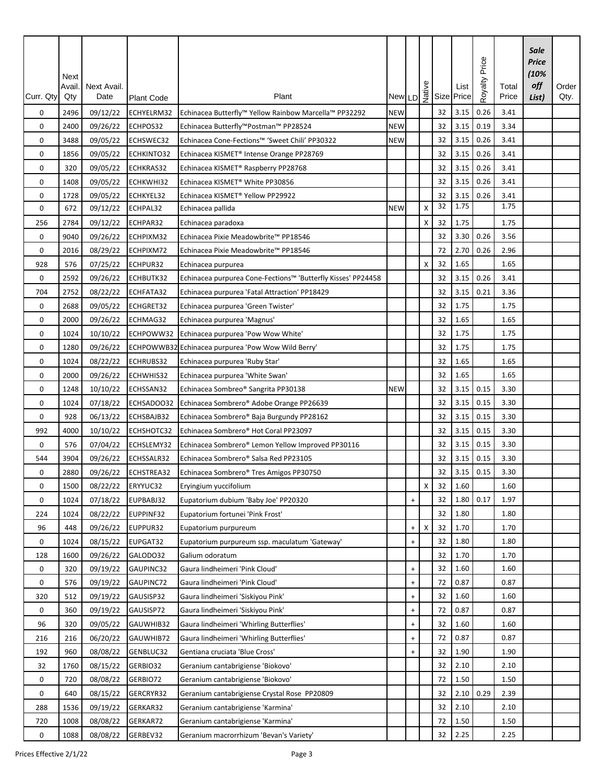| Curr. Qty | Next<br>Avail.<br>Qty | Next Avail.<br>Date | <b>Plant Code</b> | Plant                                                        |            |                                  |    |    | List<br>New LD $\frac{1}{2}$ Size Price | Price<br>Royalty | Total<br>Price | Sale<br><b>Price</b><br>(10%<br>off<br>List) | Order<br>Qty. |
|-----------|-----------------------|---------------------|-------------------|--------------------------------------------------------------|------------|----------------------------------|----|----|-----------------------------------------|------------------|----------------|----------------------------------------------|---------------|
| 0         | 2496                  | 09/12/22            | ECHYELRM32        | Echinacea Butterfly™ Yellow Rainbow Marcella™ PP32292        | <b>NEW</b> |                                  |    | 32 | 3.15                                    | 0.26             | 3.41           |                                              |               |
| 0         | 2400                  | 09/26/22            | ECHPOS32          | Echinacea Butterfly™Postman™ PP28524                         | <b>NEW</b> |                                  |    | 32 | 3.15                                    | 0.19             | 3.34           |                                              |               |
| 0         | 3488                  | 09/05/22            | ECHSWEC32         | Echinacea Cone-Fections™ 'Sweet Chili' PP30322               | <b>NEW</b> |                                  |    | 32 | 3.15                                    | 0.26             | 3.41           |                                              |               |
| 0         | 1856                  | 09/05/22            | ECHKINTO32        | Echinacea KISMET® Intense Orange PP28769                     |            |                                  |    | 32 | 3.15                                    | 0.26             | 3.41           |                                              |               |
| 0         | 320                   | 09/05/22            | ECHKRAS32         | Echinacea KISMET® Raspberry PP28768                          |            |                                  |    | 32 | 3.15                                    | 0.26             | 3.41           |                                              |               |
| 0         | 1408                  | 09/05/22            | ECHKWHI32         | Echinacea KISMET® White PP30856                              |            |                                  |    | 32 | 3.15                                    | 0.26             | 3.41           |                                              |               |
| 0         | 1728                  | 09/05/22            | ECHKYEL32         | Echinacea KISMET® Yellow PP29922                             |            |                                  |    | 32 | 3.15<br>1.75                            | 0.26             | 3.41           |                                              |               |
| 0         | 672                   | 09/12/22            | ECHPAL32          | Echinacea pallida                                            | <b>NEW</b> |                                  | X  | 32 |                                         |                  | 1.75           |                                              |               |
| 256       | 2784                  | 09/12/22            | ECHPAR32          | Echinacea paradoxa                                           |            |                                  | X  | 32 | 1.75                                    |                  | 1.75           |                                              |               |
| 0         | 9040                  | 09/26/22            | ECHPIXM32         | Echinacea Pixie Meadowbrite™ PP18546                         |            |                                  |    | 32 | 3.30                                    | 0.26             | 3.56           |                                              |               |
| 0         | 2016                  | 08/29/22            | ECHPIXM72         | Echinacea Pixie Meadowbrite™ PP18546                         |            |                                  |    | 72 | 2.70                                    | 0.26             | 2.96           |                                              |               |
| 928       | 576                   | 07/25/22            | ECHPUR32          | Echinacea purpurea                                           |            |                                  | х  | 32 | 1.65                                    |                  | 1.65           |                                              |               |
| 0         | 2592                  | 09/26/22            | ECHBUTK32         | Echinacea purpurea Cone-Fections™ 'Butterfly Kisses' PP24458 |            |                                  |    | 32 | 3.15                                    | 0.26             | 3.41           |                                              |               |
| 704       | 2752                  | 08/22/22            | ECHFATA32         | Echinacea purpurea 'Fatal Attraction' PP18429                |            |                                  |    | 32 | 3.15                                    | 0.21             | 3.36           |                                              |               |
| 0         | 2688                  | 09/05/22            | ECHGRET32         | Echinacea purpurea 'Green Twister'                           |            |                                  |    | 32 | 1.75                                    |                  | 1.75           |                                              |               |
| 0         | 2000                  | 09/26/22            | ECHMAG32          | Echinacea purpurea 'Magnus'                                  |            |                                  |    | 32 | 1.65                                    |                  | 1.65           |                                              |               |
| 0         | 1024                  | 10/10/22            | ECHPOWW32         | Echinacea purpurea 'Pow Wow White'                           |            |                                  |    | 32 | 1.75                                    |                  | 1.75           |                                              |               |
| 0         | 1280                  | 09/26/22            |                   | ECHPOWWB32 Echinacea purpurea 'Pow Wow Wild Berry'           |            |                                  |    | 32 | 1.75                                    |                  | 1.75           |                                              |               |
| 0         | 1024                  | 08/22/22            | ECHRUBS32         | Echinacea purpurea 'Ruby Star'                               |            |                                  |    | 32 | 1.65                                    |                  | 1.65           |                                              |               |
| 0         | 2000                  | 09/26/22            | ECHWHIS32         | Echinacea purpurea 'White Swan'                              |            |                                  |    | 32 | 1.65                                    |                  | 1.65           |                                              |               |
| 0         | 1248                  | 10/10/22            | ECHSSAN32         | Echinacea Sombreo® Sangrita PP30138                          | <b>NEW</b> |                                  |    | 32 | 3.15                                    | 0.15             | 3.30           |                                              |               |
| 0         | 1024                  | 07/18/22            | ECHSADOO32        | Echinacea Sombrero® Adobe Orange PP26639                     |            |                                  |    | 32 | 3.15                                    | 0.15             | 3.30           |                                              |               |
| 0         | 928                   | 06/13/22            | ECHSBAJB32        | Echinacea Sombrero® Baja Burgundy PP28162                    |            |                                  |    | 32 | 3.15                                    | 0.15             | 3.30           |                                              |               |
| 992       | 4000                  | 10/10/22            | ECHSHOTC32        | Echinacea Sombrero® Hot Coral PP23097                        |            |                                  |    | 32 | 3.15                                    | 0.15             | 3.30           |                                              |               |
| 0         | 576                   | 07/04/22            | ECHSLEMY32        | Echinacea Sombrero® Lemon Yellow Improved PP30116            |            |                                  |    | 32 | 3.15                                    | 0.15             | 3.30           |                                              |               |
| 544       | 3904                  | 09/26/22            | ECHSSALR32        | Echinacea Sombrero® Salsa Red PP23105                        |            |                                  |    | 32 | 3.15                                    | 0.15             | 3.30           |                                              |               |
| 0         | 2880                  | 09/26/22            | ECHSTREA32        | Echinacea Sombrero® Tres Amigos PP30750                      |            |                                  |    | 32 | 3.15                                    | 0.15             | 3.30           |                                              |               |
| 0         | 1500                  | 08/22/22            | ERYYUC32          | Eryingium yuccifolium                                        |            |                                  | X. | 32 | 1.60                                    |                  | 1.60           |                                              |               |
| 0         | 1024                  | 07/18/22            | EUPBABJ32         | Eupatorium dubium 'Baby Joe' PP20320                         |            | $\ddot{}$                        |    | 32 | 1.80                                    | 0.17             | 1.97           |                                              |               |
| 224       | 1024                  | 08/22/22            | EUPPINF32         | Eupatorium fortunei 'Pink Frost'                             |            |                                  |    | 32 | 1.80                                    |                  | 1.80           |                                              |               |
| 96        | 448                   | 09/26/22            | EUPPUR32          | Eupatorium purpureum                                         |            | $\ddot{}$                        | Χ  | 32 | 1.70                                    |                  | 1.70           |                                              |               |
| 0         | 1024                  | 08/15/22            | EUPGAT32          | Eupatorium purpureum ssp. maculatum 'Gateway'                |            | $\ddot{}$                        |    | 32 | 1.80                                    |                  | 1.80           |                                              |               |
| 128       | 1600                  | 09/26/22            | GALODO32          | Galium odoratum                                              |            |                                  |    | 32 | 1.70                                    |                  | 1.70           |                                              |               |
| 0         | 320                   | 09/19/22            | GAUPINC32         | Gaura lindheimeri 'Pink Cloud'                               |            | $\ddot{}$                        |    | 32 | 1.60                                    |                  | 1.60           |                                              |               |
| 0         | 576                   | 09/19/22            | GAUPINC72         | Gaura lindheimeri 'Pink Cloud'                               |            | $\begin{array}{c} + \end{array}$ |    | 72 | 0.87                                    |                  | 0.87           |                                              |               |
| 320       | 512                   | 09/19/22            | GAUSISP32         | Gaura lindheimeri 'Siskiyou Pink'                            |            | $\ddot{}$                        |    | 32 | 1.60                                    |                  | 1.60           |                                              |               |
| 0         | 360                   | 09/19/22            | GAUSISP72         | Gaura lindheimeri 'Siskiyou Pink'                            |            | $\begin{array}{c} + \end{array}$ |    | 72 | 0.87                                    |                  | 0.87           |                                              |               |
| 96        | 320                   | 09/05/22            | GAUWHIB32         | Gaura lindheimeri 'Whirling Butterflies'                     |            | $\ddot{}$                        |    | 32 | 1.60                                    |                  | 1.60           |                                              |               |
| 216       | 216                   | 06/20/22            | GAUWHIB72         | Gaura lindheimeri 'Whirling Butterflies'                     |            | $\begin{array}{c} + \end{array}$ |    | 72 | 0.87                                    |                  | 0.87           |                                              |               |
| 192       | 960                   | 08/08/22            | GENBLUC32         | Gentiana cruciata 'Blue Cross'                               |            | $\ddot{}$                        |    | 32 | 1.90                                    |                  | 1.90           |                                              |               |
| 32        | 1760                  | 08/15/22            | GERBIO32          | Geranium cantabrigiense 'Biokovo'                            |            |                                  |    | 32 | 2.10                                    |                  | 2.10           |                                              |               |
| 0         | 720                   | 08/08/22            | GERBIO72          | Geranium cantabrigiense 'Biokovo'                            |            |                                  |    | 72 | 1.50                                    |                  | 1.50           |                                              |               |
| 0         | 640                   | 08/15/22            | GERCRYR32         | Geranium cantabrigiense Crystal Rose PP20809                 |            |                                  |    | 32 | 2.10                                    | 0.29             | 2.39           |                                              |               |
| 288       | 1536                  | 09/19/22            | GERKAR32          | Geranium cantabrigiense 'Karmina'                            |            |                                  |    | 32 | 2.10                                    |                  | 2.10           |                                              |               |
| 720       | 1008                  | 08/08/22            | GERKAR72          | Geranium cantabrigiense 'Karmina'                            |            |                                  |    | 72 | 1.50                                    |                  | 1.50           |                                              |               |
| 0         | 1088                  | 08/08/22            | GERBEV32          | Geranium macrorrhizum 'Bevan's Variety'                      |            |                                  |    | 32 | 2.25                                    |                  | 2.25           |                                              |               |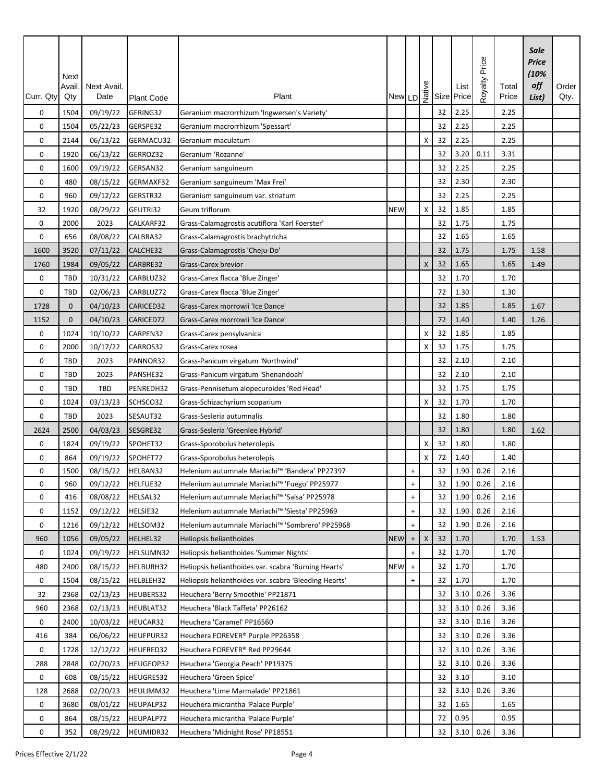| Curr. Qty   | Next<br>Avail<br>Qty | <b>Next Avail</b><br>Date | <b>Plant Code</b> | Plant                                                 |            |                                  |   |    | New LD $\frac{9}{2}$ Size Price | Price<br>Royalty | Total<br>Price | Sale<br><b>Price</b><br>(10%<br>off<br>List) | Order<br>Qty. |
|-------------|----------------------|---------------------------|-------------------|-------------------------------------------------------|------------|----------------------------------|---|----|---------------------------------|------------------|----------------|----------------------------------------------|---------------|
| 0           | 1504                 | 09/19/22                  | GERING32          | Geranium macrorrhizum 'Ingwersen's Variety'           |            |                                  |   | 32 | 2.25                            |                  | 2.25           |                                              |               |
| 0           | 1504                 | 05/22/23                  | GERSPE32          | Geranium macrorrhizum 'Spessart'                      |            |                                  |   | 32 | 2.25                            |                  | 2.25           |                                              |               |
| 0           | 2144                 | 06/13/22                  | GERMACU32         | Geranium maculatum                                    |            |                                  | X | 32 | 2.25                            |                  | 2.25           |                                              |               |
| 0           | 1920                 | 06/13/22                  | GERROZ32          | Geranium 'Rozanne'                                    |            |                                  |   | 32 | 3.20                            | 0.11             | 3.31           |                                              |               |
| 0           | 1600                 | 09/19/22                  | GERSAN32          | Geranium sanguineum                                   |            |                                  |   | 32 | 2.25                            |                  | 2.25           |                                              |               |
| $\mathbf 0$ | 480                  | 08/15/22                  | GERMAXF32         | Geranium sanguineum 'Max Frei'                        |            |                                  |   | 32 | 2.30                            |                  | 2.30           |                                              |               |
| 0           | 960                  | 09/12/22                  | GERSTR32          | Geranium sanguineum var. striatum                     |            |                                  |   | 32 | 2.25                            |                  | 2.25           |                                              |               |
| 32          | 1920                 | 08/29/22                  | GEUTRI32          | Geum triflorum                                        | <b>NEW</b> |                                  | X | 32 | 1.85                            |                  | 1.85           |                                              |               |
| 0           | 2000                 | 2023                      | CALKARF32         | Grass-Calamagrostis acutiflora 'Karl Foerster'        |            |                                  |   | 32 | 1.75                            |                  | 1.75           |                                              |               |
| 0           | 656                  | 08/08/22                  | CALBRA32          | Grass-Calamagrostis brachytricha                      |            |                                  |   | 32 | 1.65                            |                  | 1.65           |                                              |               |
| 1600        | 3520                 | 07/11/22                  | CALCHE32          | Grass-Calamagrostis 'Cheju-Do'                        |            |                                  |   | 32 | 1.75                            |                  | 1.75           | 1.58                                         |               |
| 1760        | 1984                 | 09/05/22                  | CARBRE32          | Grass-Carex brevior                                   |            |                                  | X | 32 | 1.65                            |                  | 1.65           | 1.49                                         |               |
| 0           | TBD                  | 10/31/22                  | CARBLUZ32         | Grass-Carex flacca 'Blue Zinger'                      |            |                                  |   | 32 | 1.70                            |                  | 1.70           |                                              |               |
| 0           | TBD                  | 02/06/23                  | CARBLUZ72         | Grass-Carex flacca 'Blue Zinger'                      |            |                                  |   | 72 | 1.30                            |                  | 1.30           |                                              |               |
| 1728        | $\mathbf{0}$         | 04/10/23                  | CARICED32         | Grass-Carex morrowii 'Ice Dance'                      |            |                                  |   | 32 | 1.85                            |                  | 1.85           | 1.67                                         |               |
| 1152        | $\mathbf{0}$         | 04/10/23                  | CARICED72         | Grass-Carex morrowii 'Ice Dance'                      |            |                                  |   | 72 | 1.40                            |                  | 1.40           | 1.26                                         |               |
| 0           | 1024                 | 10/10/22                  | CARPEN32          | Grass-Carex pensylvanica                              |            |                                  | X | 32 | 1.85                            |                  | 1.85           |                                              |               |
| 0           | 2000                 | 10/17/22                  | CARROS32          | Grass-Carex rosea                                     |            |                                  | X | 32 | 1.75                            |                  | 1.75           |                                              |               |
| 0           | TBD                  | 2023                      | PANNOR32          | Grass-Panicum virgatum 'Northwind'                    |            |                                  |   | 32 | 2.10                            |                  | 2.10           |                                              |               |
| 0           | <b>TBD</b>           | 2023                      | PANSHE32          | Grass-Panicum virgatum 'Shenandoah'                   |            |                                  |   | 32 | 2.10                            |                  | 2.10           |                                              |               |
| 0           | <b>TBD</b>           | TBD                       | PENREDH32         | Grass-Pennisetum alopecuroides 'Red Head'             |            |                                  |   | 32 | 1.75                            |                  | 1.75           |                                              |               |
| 0           | 1024                 | 03/13/23                  | SCHSCO32          | Grass-Schizachyrium scoparium                         |            |                                  | х | 32 | 1.70                            |                  | 1.70           |                                              |               |
| 0           | TBD                  | 2023                      | SESAUT32          | Grass-Sesleria autumnalis                             |            |                                  |   | 32 | 1.80                            |                  | 1.80           |                                              |               |
| 2624        | 2500                 | 04/03/23                  | SESGRE32          | Grass-Sesleria 'Greenlee Hybrid'                      |            |                                  |   | 32 | 1.80                            |                  | 1.80           | 1.62                                         |               |
| 0           | 1824                 | 09/19/22                  | SPOHET32          | Grass-Sporobolus heterolepis                          |            |                                  | х | 32 | 1.80                            |                  | 1.80           |                                              |               |
| 0           | 864                  | 09/19/22                  | SPOHET72          | Grass-Sporobolus heterolepis                          |            |                                  | Χ | 72 | 1.40                            |                  | 1.40           |                                              |               |
| 0           | 1500                 | 08/15/22                  | HELBAN32          | Helenium autumnale Mariachi™ 'Bandera' PP27397        |            | $\ddot{}$                        |   | 32 | 1.90                            | 0.26             | 2.16           |                                              |               |
| 0           | 960                  | 09/12/22                  | HELFUE32          | Helenium autumnale Mariachi™ 'Fuego' PP25977          |            | $+$                              |   | 32 | $1.90 \, 0.26$                  |                  | 2.16           |                                              |               |
| 0           | 416                  | 08/08/22                  | HELSAL32          | Helenium autumnale Mariachi™ 'Salsa' PP25978          |            | $\ddot{}$                        |   | 32 | 1.90                            | 0.26             | 2.16           |                                              |               |
| 0           | 1152                 | 09/12/22                  | HELSIE32          | Helenium autumnale Mariachi™ 'Siesta' PP25969         |            | $\ddot{}$                        |   | 32 | 1.90                            | 0.26             | 2.16           |                                              |               |
| 0           | 1216                 | 09/12/22                  | HELSOM32          | Helenium autumnale Mariachi™ 'Sombrero' PP25968       |            | $+$                              |   | 32 | 1.90                            | 0.26             | 2.16           |                                              |               |
| 960         | 1056                 | 09/05/22                  | HELHEL32          | Heliopsis helianthoides                               | <b>NEW</b> | $\begin{array}{c} + \end{array}$ | X | 32 | 1.70                            |                  | 1.70           | 1.53                                         |               |
| 0           | 1024                 | 09/19/22                  | HELSUMN32         | Heliopsis helianthoides 'Summer Nights'               |            | $+$                              |   | 32 | 1.70                            |                  | 1.70           |                                              |               |
| 480         | 2400                 | 08/15/22                  | HELBURH32         | Heliopsis helianthoides var. scabra 'Burning Hearts'  | <b>NEW</b> | $\ddot{}$                        |   | 32 | 1.70                            |                  | 1.70           |                                              |               |
| 0           | 1504                 | 08/15/22                  | HELBLEH32         | Heliopsis helianthoides var. scabra 'Bleeding Hearts' |            | $\ddot{}$                        |   | 32 | 1.70                            |                  | 1.70           |                                              |               |
| 32          | 2368                 | 02/13/23                  | HEUBERS32         | Heuchera 'Berry Smoothie' PP21871                     |            |                                  |   | 32 | 3.10                            | 0.26             | 3.36           |                                              |               |
| 960         | 2368                 | 02/13/23                  | HEUBLAT32         | Heuchera 'Black Taffeta' PP26162                      |            |                                  |   | 32 | 3.10                            | 0.26             | 3.36           |                                              |               |
| 0           | 2400                 | 10/03/22                  | HEUCAR32          | Heuchera 'Caramel' PP16560                            |            |                                  |   | 32 | 3.10                            | 0.16             | 3.26           |                                              |               |
| 416         | 384                  | 06/06/22                  | HEUFPUR32         | Heuchera FOREVER <sup>®</sup> Purple PP26358          |            |                                  |   | 32 | 3.10                            | 0.26             | 3.36           |                                              |               |
| 0           | 1728                 | 12/12/22                  | HEUFRED32         | Heuchera FOREVER® Red PP29644                         |            |                                  |   | 32 | 3.10                            | 0.26             | 3.36           |                                              |               |
| 288         | 2848                 | 02/20/23                  | HEUGEOP32         | Heuchera 'Georgia Peach' PP19375                      |            |                                  |   | 32 | 3.10                            | 0.26             | 3.36           |                                              |               |
| 0           | 608                  | 08/15/22                  | HEUGRES32         | Heuchera 'Green Spice'                                |            |                                  |   | 32 | 3.10                            |                  | 3.10           |                                              |               |
| 128         | 2688                 | 02/20/23                  | HEULIMM32         | Heuchera 'Lime Marmalade' PP21861                     |            |                                  |   | 32 | 3.10                            | 0.26             | 3.36           |                                              |               |
| 0           | 3680                 | 08/01/22                  | HEUPALP32         | Heuchera micrantha 'Palace Purple'                    |            |                                  |   | 32 | 1.65                            |                  | 1.65           |                                              |               |
| 0           | 864                  | 08/15/22                  | HEUPALP72         | Heuchera micrantha 'Palace Purple'                    |            |                                  |   | 72 | 0.95                            |                  | 0.95           |                                              |               |
| 0           | 352                  | 08/29/22                  | HEUMIDR32         | Heuchera 'Midnight Rose' PP18551                      |            |                                  |   | 32 | $3.10 \ 0.26$                   |                  | 3.36           |                                              |               |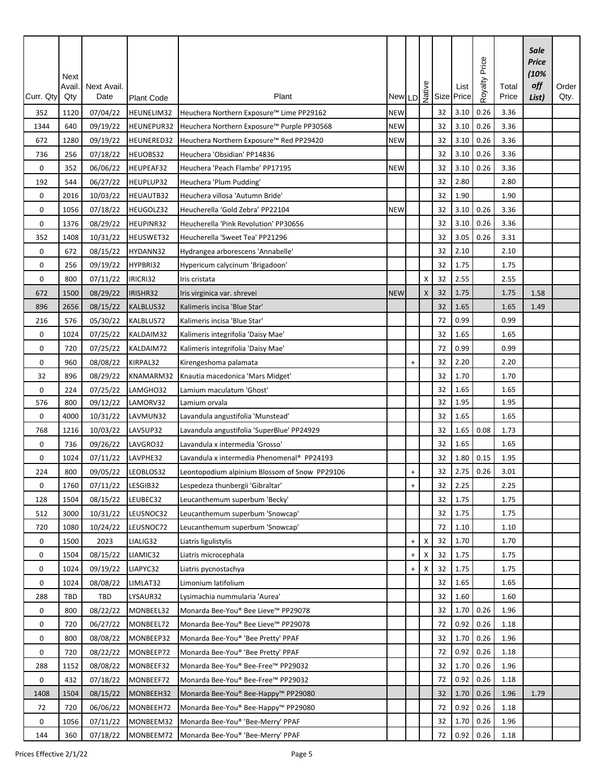| Curr. Qty | Next<br>Avail<br>Qty | Next Avail.<br>Date | Plant Code | Plant                                         |            |                                  |   |    | New LD $\frac{9}{2}$ Size Price | Price<br>Royalty | Total<br>Price | Sale<br>Price<br>(10%<br>off<br>List) | Order<br>Qty. |
|-----------|----------------------|---------------------|------------|-----------------------------------------------|------------|----------------------------------|---|----|---------------------------------|------------------|----------------|---------------------------------------|---------------|
| 352       | 1120                 | 07/04/22            | HEUNELIM32 | Heuchera Northern Exposure™ Lime PP29162      | <b>NEW</b> |                                  |   | 32 | 3.10                            | 0.26             | 3.36           |                                       |               |
| 1344      | 640                  | 09/19/22            | HEUNEPUR32 | Heuchera Northern Exposure™ Purple PP30568    | <b>NEW</b> |                                  |   | 32 | 3.10                            | 0.26             | 3.36           |                                       |               |
| 672       | 1280                 | 09/19/22            | HEUNERED32 | Heuchera Northern Exposure™ Red PP29420       | <b>NEW</b> |                                  |   | 32 | 3.10                            | 0.26             | 3.36           |                                       |               |
| 736       | 256                  | 07/18/22            | HEUOBS32   | Heuchera 'Obsidian' PP14836                   |            |                                  |   | 32 | 3.10                            | 0.26             | 3.36           |                                       |               |
| 0         | 352                  | 06/06/22            | HEUPEAF32  | Heuchera 'Peach Flambe' PP17195               | <b>NEW</b> |                                  |   | 32 | 3.10                            | 0.26             | 3.36           |                                       |               |
| 192       | 544                  | 06/27/22            | HEUPLUP32  | Heuchera 'Plum Pudding'                       |            |                                  |   | 32 | 2.80                            |                  | 2.80           |                                       |               |
| 0         | 2016                 | 10/03/22            | HEUAUTB32  | Heuchera villosa 'Autumn Bride'               |            |                                  |   | 32 | 1.90                            |                  | 1.90           |                                       |               |
| 0         | 1056                 | 07/18/22            | HEUGOLZ32  | Heucherella 'Gold Zebra' PP22104              | <b>NEW</b> |                                  |   | 32 | 3.10                            | 0.26             | 3.36           |                                       |               |
| 0         | 1376                 | 08/29/22            | HEUPINR32  | Heucherella 'Pink Revolution' PP30656         |            |                                  |   | 32 | 3.10                            | 0.26             | 3.36           |                                       |               |
| 352       | 1408                 | 10/31/22            | HEUSWET32  | Heucherella 'Sweet Tea' PP21296               |            |                                  |   | 32 | 3.05                            | 0.26             | 3.31           |                                       |               |
| 0         | 672                  | 08/15/22            | HYDANN32   | Hydrangea arborescens 'Annabelle'             |            |                                  |   | 32 | 2.10                            |                  | 2.10           |                                       |               |
| 0         | 256                  | 09/19/22            | HYPBRI32   | Hypericum calycinum 'Brigadoon'               |            |                                  |   | 32 | 1.75                            |                  | 1.75           |                                       |               |
| 0         | 800                  | 07/11/22            | IRICRI32   | Iris cristata                                 |            |                                  | х | 32 | 2.55                            |                  | 2.55           |                                       |               |
| 672       | 1500                 | 08/29/22            | IRISHR32   | Iris virginica var. shrevei                   | <b>NEW</b> |                                  | X | 32 | 1.75                            |                  | 1.75           | 1.58                                  |               |
| 896       | 2656                 | 08/15/22            | KALBLUS32  | Kalimeris incisa 'Blue Star'                  |            |                                  |   | 32 | 1.65                            |                  | 1.65           | 1.49                                  |               |
| 216       | 576                  | 05/30/22            | KALBLUS72  | Kalimeris incisa 'Blue Star'                  |            |                                  |   | 72 | 0.99                            |                  | 0.99           |                                       |               |
| 0         | 1024                 | 07/25/22            | KALDAIM32  | Kalimeris integrifolia 'Daisy Mae'            |            |                                  |   | 32 | 1.65                            |                  | 1.65           |                                       |               |
| 0         | 720                  | 07/25/22            | KALDAIM72  | Kalimeris integrifolia 'Daisy Mae'            |            |                                  |   | 72 | 0.99                            |                  | 0.99           |                                       |               |
| 0         | 960                  | 08/08/22            | KIRPAL32   | Kirengeshoma palamata                         |            | $\ddot{}$                        |   | 32 | 2.20                            |                  | 2.20           |                                       |               |
| 32        | 896                  | 08/29/22            | KNAMARM32  | Knautia macedonica 'Mars Midget'              |            |                                  |   | 32 | 1.70                            |                  | 1.70           |                                       |               |
| 0         | 224                  | 07/25/22            | LAMGHO32   | Lamium maculatum 'Ghost'                      |            |                                  |   | 32 | 1.65                            |                  | 1.65           |                                       |               |
| 576       | 800                  | 09/12/22            | LAMORV32   | Lamium orvala                                 |            |                                  |   | 32 | 1.95                            |                  | 1.95           |                                       |               |
| 0         | 4000                 | 10/31/22            | LAVMUN32   | Lavandula angustifolia 'Munstead'             |            |                                  |   | 32 | 1.65                            |                  | 1.65           |                                       |               |
| 768       | 1216                 | 10/03/22            | LAVSUP32   | Lavandula angustifolia 'SuperBlue' PP24929    |            |                                  |   | 32 | 1.65                            | 0.08             | 1.73           |                                       |               |
| 0         | 736                  | 09/26/22            | LAVGRO32   | Lavandula x intermedia 'Grosso'               |            |                                  |   | 32 | 1.65                            |                  | 1.65           |                                       |               |
| 0         | 1024                 | 07/11/22            | LAVPHE32   | Lavandula x intermedia Phenomenal® PP24193    |            |                                  |   | 32 | 1.80                            | 0.15             | 1.95           |                                       |               |
| 224       | 800                  | 09/05/22            | LEOBLOS32  | Leontopodium alpinium Blossom of Snow PP29106 |            | $\ddot{}$                        |   | 32 | 2.75                            | 0.26             | 3.01           |                                       |               |
| 0         | 1760                 | 07/11/22            | LESGIB32   | Lespedeza thunbergii 'Gibraltar'              |            | $\ddot{}$                        |   | 32 | 2.25                            |                  | 2.25           |                                       |               |
| 128       | 1504                 | 08/15/22            | LEUBEC32   | Leucanthemum superbum 'Becky'                 |            |                                  |   | 32 | 1.75                            |                  | 1.75           |                                       |               |
| 512       | 3000                 | 10/31/22            | LEUSNOC32  | Leucanthemum superbum 'Snowcap'               |            |                                  |   | 32 | 1.75                            |                  | 1.75           |                                       |               |
| 720       | 1080                 | 10/24/22            | LEUSNOC72  | Leucanthemum superbum 'Snowcap'               |            |                                  |   | 72 | 1.10                            |                  | 1.10           |                                       |               |
| 0         | 1500                 | 2023                | LIALIG32   | Liatris ligulistylis                          |            | $\ddot{}$                        | х | 32 | 1.70                            |                  | 1.70           |                                       |               |
| 0         | 1504                 | 08/15/22            | LIAMIC32   | Liatris microcephala                          |            |                                  | Х | 32 | 1.75                            |                  | 1.75           |                                       |               |
| 0         | 1024                 | 09/19/22            | LIAPYC32   | Liatris pycnostachya                          |            | $\begin{array}{c} + \end{array}$ | X | 32 | 1.75                            |                  | 1.75           |                                       |               |
| 0         | 1024                 | 08/08/22            | LIMLAT32   | Limonium latifolium                           |            |                                  |   | 32 | 1.65                            |                  | 1.65           |                                       |               |
| 288       | <b>TBD</b>           | TBD                 | LYSAUR32   | Lysimachia nummularia 'Aurea'                 |            |                                  |   | 32 | 1.60                            |                  | 1.60           |                                       |               |
| 0         | 800                  | 08/22/22            | MONBEEL32  | Monarda Bee-You® Bee Lieve™ PP29078           |            |                                  |   | 32 | 1.70                            | 0.26             | 1.96           |                                       |               |
| 0         | 720                  | 06/27/22            | MONBEEL72  | Monarda Bee-You® Bee Lieve™ PP29078           |            |                                  |   | 72 | 0.92                            | 0.26             | 1.18           |                                       |               |
| 0         | 800                  | 08/08/22            | MONBEEP32  | Monarda Bee-You® 'Bee Pretty' PPAF            |            |                                  |   | 32 | 1.70                            | 0.26             | 1.96           |                                       |               |
| 0         | 720                  | 08/22/22            | MONBEEP72  | Monarda Bee-You® 'Bee Pretty' PPAF            |            |                                  |   | 72 | 0.92                            | 0.26             | 1.18           |                                       |               |
| 288       | 1152                 | 08/08/22            | MONBEEF32  | Monarda Bee-You® Bee-Free™ PP29032            |            |                                  |   | 32 | 1.70                            | 0.26             | 1.96           |                                       |               |
| 0         | 432                  | 07/18/22            | MONBEEF72  | Monarda Bee-You® Bee-Free™ PP29032            |            |                                  |   | 72 | 0.92                            | 0.26             | 1.18           |                                       |               |
| 1408      | 1504                 | 08/15/22            | MONBEEH32  | Monarda Bee-You® Bee-Happy™ PP29080           |            |                                  |   | 32 | 1.70                            | 0.26             | 1.96           | 1.79                                  |               |
| 72        | 720                  | 06/06/22            | MONBEEH72  | Monarda Bee-You® Bee-Happy™ PP29080           |            |                                  |   | 72 | 0.92                            | 0.26             | 1.18           |                                       |               |
| 0         | 1056                 | 07/11/22            | MONBEEM32  | Monarda Bee-You® 'Bee-Merry' PPAF             |            |                                  |   | 32 | 1.70                            | 0.26             | 1.96           |                                       |               |
| 144       | 360                  | 07/18/22            | MONBEEM72  | Monarda Bee-You® 'Bee-Merry' PPAF             |            |                                  |   | 72 | 0.92                            | 0.26             | 1.18           |                                       |               |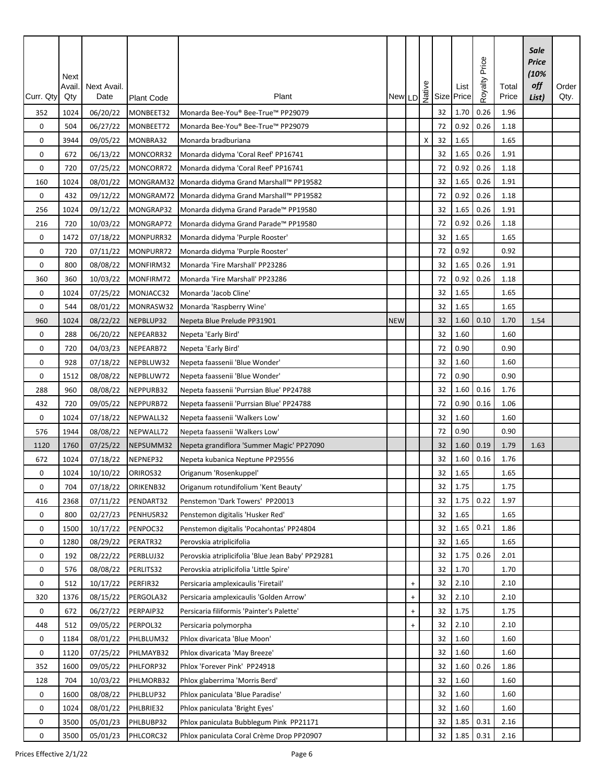| Curr. Qty | Next<br>Avail<br>Qty | Next Avail.<br>Date | Plant Code | Plant                                             |            |           |   |    | New LD $\frac{9}{2}$ Size Price | Price<br>Royalty | Total<br>Price | Sale<br>Price<br>(10%<br>off<br>List) | Order<br>Qty. |
|-----------|----------------------|---------------------|------------|---------------------------------------------------|------------|-----------|---|----|---------------------------------|------------------|----------------|---------------------------------------|---------------|
|           |                      |                     |            |                                                   |            |           |   |    |                                 |                  |                |                                       |               |
| 352       | 1024                 | 06/20/22            | MONBEET32  | Monarda Bee-You® Bee-True™ PP29079                |            |           |   | 32 | 1.70                            | 0.26<br>0.26     | 1.96           |                                       |               |
| 0         | 504                  | 06/27/22            | MONBEET72  | Monarda Bee-You® Bee-True™ PP29079                |            |           |   | 72 | 0.92                            |                  | 1.18           |                                       |               |
| 0         | 3944                 | 09/05/22            | MONBRA32   | Monarda bradburiana                               |            |           | Χ | 32 | 1.65                            |                  | 1.65           |                                       |               |
| 0         | 672                  | 06/13/22            | MONCORR32  | Monarda didyma 'Coral Reef' PP16741               |            |           |   | 32 | 1.65                            | 0.26             | 1.91           |                                       |               |
| 0         | 720                  | 07/25/22            | MONCORR72  | Monarda didyma 'Coral Reef' PP16741               |            |           |   | 72 | 0.92                            | 0.26             | 1.18           |                                       |               |
| 160       | 1024                 | 08/01/22            | MONGRAM32  | Monarda didyma Grand Marshall™ PP19582            |            |           |   | 32 | 1.65                            | 0.26             | 1.91           |                                       |               |
| 0         | 432                  | 09/12/22            | MONGRAM72  | Monarda didyma Grand Marshall™ PP19582            |            |           |   | 72 | 0.92                            | 0.26             | 1.18           |                                       |               |
| 256       | 1024                 | 09/12/22            | MONGRAP32  | Monarda didyma Grand Parade™ PP19580              |            |           |   | 32 | 1.65                            | 0.26             | 1.91           |                                       |               |
| 216       | 720                  | 10/03/22            | MONGRAP72  | Monarda didyma Grand Parade™ PP19580              |            |           |   | 72 | 0.92                            | 0.26             | 1.18           |                                       |               |
| 0         | 1472                 | 07/18/22            | MONPURR32  | Monarda didyma 'Purple Rooster'                   |            |           |   | 32 | 1.65                            |                  | 1.65           |                                       |               |
| 0         | 720                  | 07/11/22            | MONPURR72  | Monarda didyma 'Purple Rooster'                   |            |           |   | 72 | 0.92                            |                  | 0.92           |                                       |               |
| 0         | 800                  | 08/08/22            | MONFIRM32  | Monarda 'Fire Marshall' PP23286                   |            |           |   | 32 | 1.65                            | 0.26             | 1.91           |                                       |               |
| 360       | 360                  | 10/03/22            | MONFIRM72  | Monarda 'Fire Marshall' PP23286                   |            |           |   | 72 | 0.92                            | 0.26             | 1.18           |                                       |               |
| 0         | 1024                 | 07/25/22            | MONJACC32  | Monarda 'Jacob Cline'                             |            |           |   | 32 | 1.65                            |                  | 1.65           |                                       |               |
| 0         | 544                  | 08/01/22            | MONRASW32  | Monarda 'Raspberry Wine'                          |            |           |   | 32 | 1.65                            |                  | 1.65           |                                       |               |
| 960       | 1024                 | 08/22/22            | NEPBLUP32  | Nepeta Blue Prelude PP31901                       | <b>NEW</b> |           |   | 32 | 1.60                            | 0.10             | 1.70           | 1.54                                  |               |
| 0         | 288                  | 06/20/22            | NEPEARB32  | Nepeta 'Early Bird'                               |            |           |   | 32 | 1.60                            |                  | 1.60           |                                       |               |
| 0         | 720                  | 04/03/23            | NEPEARB72  | Nepeta 'Early Bird'                               |            |           |   | 72 | 0.90                            |                  | 0.90           |                                       |               |
| 0         | 928                  | 07/18/22            | NEPBLUW32  | Nepeta faassenii 'Blue Wonder'                    |            |           |   | 32 | 1.60                            |                  | 1.60           |                                       |               |
| 0         | 1512                 | 08/08/22            | NEPBLUW72  | Nepeta faassenii 'Blue Wonder'                    |            |           |   | 72 | 0.90                            |                  | 0.90           |                                       |               |
| 288       | 960                  | 08/08/22            | NEPPURB32  | Nepeta faassenii 'Purrsian Blue' PP24788          |            |           |   | 32 | 1.60                            | 0.16             | 1.76           |                                       |               |
| 432       | 720                  | 09/05/22            | NEPPURB72  | Nepeta faassenii 'Purrsian Blue' PP24788          |            |           |   | 72 | 0.90                            | 0.16             | 1.06           |                                       |               |
| 0         | 1024                 | 07/18/22            | NEPWALL32  | Nepeta faassenii 'Walkers Low'                    |            |           |   | 32 | 1.60                            |                  | 1.60           |                                       |               |
| 576       | 1944                 | 08/08/22            | NEPWALL72  | Nepeta faassenii 'Walkers Low'                    |            |           |   | 72 | 0.90                            |                  | 0.90           |                                       |               |
| 1120      | 1760                 | 07/25/22            | NEPSUMM32  | Nepeta grandiflora 'Summer Magic' PP27090         |            |           |   | 32 | 1.60                            | 0.19             | 1.79           | 1.63                                  |               |
| 672       | 1024                 | 07/18/22            | NEPNEP32   | Nepeta kubanica Neptune PP29556                   |            |           |   | 32 | 1.60                            | 0.16             | 1.76           |                                       |               |
| 0         | 1024                 | 10/10/22            | ORIROS32   | Origanum 'Rosenkuppel'                            |            |           |   | 32 | 1.65                            |                  | 1.65           |                                       |               |
| 0         | 704                  | 07/18/22            | ORIKENB32  | Origanum rotundifolium 'Kent Beauty'              |            |           |   | 32 | 1.75                            |                  | 1.75           |                                       |               |
| 416       | 2368                 | 07/11/22            | PENDART32  | Penstemon 'Dark Towers' PP20013                   |            |           |   | 32 | 1.75                            | 0.22             | 1.97           |                                       |               |
| 0         | 800                  | 02/27/23            | PENHUSR32  | Penstemon digitalis 'Husker Red'                  |            |           |   | 32 | 1.65                            |                  | 1.65           |                                       |               |
| 0         | 1500                 | 10/17/22            | PENPOC32   | Penstemon digitalis 'Pocahontas' PP24804          |            |           |   | 32 | 1.65                            | 0.21             | 1.86           |                                       |               |
| 0         | 1280                 | 08/29/22            | PERATR32   | Perovskia atriplicifolia                          |            |           |   | 32 | 1.65                            |                  | 1.65           |                                       |               |
| 0         | 192                  | 08/22/22            | PERBLUJ32  | Perovskia atriplicifolia 'Blue Jean Baby' PP29281 |            |           |   | 32 | 1.75                            | 0.26             | 2.01           |                                       |               |
| 0         | 576                  | 08/08/22            | PERLITS32  | Perovskia atriplicifolia 'Little Spire'           |            |           |   | 32 | 1.70                            |                  | 1.70           |                                       |               |
| 0         | 512                  | 10/17/22            | PERFIR32   | Persicaria amplexicaulis 'Firetail'               |            | $\ddot{}$ |   | 32 | 2.10                            |                  | 2.10           |                                       |               |
| 320       | 1376                 | 08/15/22            | PERGOLA32  | Persicaria amplexicaulis 'Golden Arrow'           |            | $\ddot{}$ |   | 32 | 2.10                            |                  | 2.10           |                                       |               |
| 0         | 672                  | 06/27/22            | PERPAIP32  | Persicaria filiformis 'Painter's Palette'         |            | $\ddot{}$ |   | 32 | 1.75                            |                  | 1.75           |                                       |               |
| 448       | 512                  | 09/05/22            | PERPOL32   | Persicaria polymorpha                             |            | $\ddot{}$ |   | 32 | 2.10                            |                  | 2.10           |                                       |               |
| 0         | 1184                 | 08/01/22            | PHLBLUM32  | Phlox divaricata 'Blue Moon'                      |            |           |   | 32 | 1.60                            |                  | 1.60           |                                       |               |
| 0         | 1120                 | 07/25/22            | PHLMAYB32  | Phlox divaricata 'May Breeze'                     |            |           |   | 32 | 1.60                            |                  | 1.60           |                                       |               |
| 352       | 1600                 | 09/05/22            | PHLFORP32  | Phlox 'Forever Pink' PP24918                      |            |           |   | 32 | 1.60                            | 0.26             | 1.86           |                                       |               |
| 128       | 704                  | 10/03/22            | PHLMORB32  | Phlox glaberrima 'Morris Berd'                    |            |           |   | 32 | 1.60                            |                  | 1.60           |                                       |               |
| 0         | 1600                 | 08/08/22            | PHLBLUP32  | Phlox paniculata 'Blue Paradise'                  |            |           |   | 32 | 1.60                            |                  | 1.60           |                                       |               |
| 0         | 1024                 | 08/01/22            | PHLBRIE32  | Phlox paniculata 'Bright Eyes'                    |            |           |   | 32 | 1.60                            |                  | 1.60           |                                       |               |
| 0         | 3500                 | 05/01/23            | PHLBUBP32  | Phlox paniculata Bubblegum Pink PP21171           |            |           |   | 32 | 1.85                            | 0.31             | 2.16           |                                       |               |
| 0         | 3500                 | 05/01/23            | PHLCORC32  | Phlox paniculata Coral Crème Drop PP20907         |            |           |   | 32 | 1.85                            | 0.31             | 2.16           |                                       |               |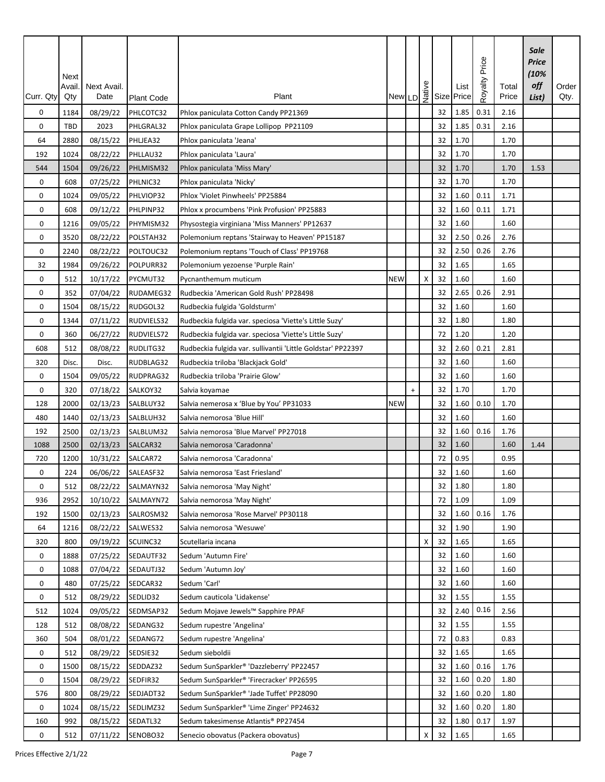| Curr. Qty   | Next<br>Avail.<br>Qty | Next Avail.<br>Date  | <b>Plant Code</b>     | Plant                                                                |            |           |   |          | New LD $\frac{9}{2}$ Size Price | Price<br>Royalty | Total<br>Price | Sale<br><b>Price</b><br>(10%<br>off<br>List) | Order<br>Qty. |
|-------------|-----------------------|----------------------|-----------------------|----------------------------------------------------------------------|------------|-----------|---|----------|---------------------------------|------------------|----------------|----------------------------------------------|---------------|
|             |                       |                      |                       |                                                                      |            |           |   |          |                                 |                  |                |                                              |               |
| 0           | 1184                  | 08/29/22             | PHLCOTC32             | Phlox paniculata Cotton Candy PP21369                                |            |           |   | 32       | 1.85                            | 0.31<br>0.31     | 2.16           |                                              |               |
| 0           | TBD                   | 2023                 | PHLGRAL32             | Phlox paniculata Grape Lollipop PP21109                              |            |           |   | 32       | 1.85                            |                  | 2.16           |                                              |               |
| 64          | 2880                  | 08/15/22             | PHLJEA32              | Phlox paniculata 'Jeana'                                             |            |           |   | 32       | 1.70                            |                  | 1.70           |                                              |               |
| 192         | 1024                  | 08/22/22             | PHLLAU32              | Phlox paniculata 'Laura'                                             |            |           |   | 32       | 1.70                            |                  | 1.70           |                                              |               |
| 544         | 1504                  | 09/26/22             | PHLMISM32             | Phlox paniculata 'Miss Mary'                                         |            |           |   | 32       | 1.70                            |                  | 1.70           | 1.53                                         |               |
| 0           | 608                   | 07/25/22             | PHLNIC32              | Phlox paniculata 'Nicky'                                             |            |           |   | 32       | 1.70                            |                  | 1.70           |                                              |               |
| 0           | 1024                  | 09/05/22             | PHLVIOP32             | Phlox 'Violet Pinwheels' PP25884                                     |            |           |   | 32<br>32 | 1.60<br>1.60                    | 0.11<br>0.11     | 1.71<br>1.71   |                                              |               |
| 0           | 608                   | 09/12/22             | PHLPINP32             | Phlox x procumbens 'Pink Profusion' PP25883                          |            |           |   |          |                                 |                  |                |                                              |               |
| 0           | 1216                  | 09/05/22             | PHYMISM32             | Physostegia virginiana 'Miss Manners' PP12637                        |            |           |   | 32       | 1.60                            |                  | 1.60           |                                              |               |
| 0           | 3520                  | 08/22/22             | POLSTAH32             | Polemonium reptans 'Stairway to Heaven' PP15187                      |            |           |   | 32       | 2.50                            | 0.26<br>0.26     | 2.76           |                                              |               |
| 0           | 2240                  | 08/22/22             | POLTOUC32             | Polemonium reptans 'Touch of Class' PP19768                          |            |           |   | 32       | 2.50                            |                  | 2.76           |                                              |               |
| 32          | 1984                  | 09/26/22             | POLPURR32             | Polemonium yezoense 'Purple Rain'                                    |            |           |   | 32       | 1.65                            |                  | 1.65           |                                              |               |
| 0           | 512                   | 10/17/22             | PYCMUT32              | Pycnanthemum muticum                                                 | <b>NEW</b> |           | X | 32       | 1.60                            |                  | 1.60           |                                              |               |
| 0           | 352                   | 07/04/22             | RUDAMEG32             | Rudbeckia 'American Gold Rush' PP28498                               |            |           |   | 32       | 2.65<br>1.60                    | 0.26             | 2.91           |                                              |               |
| 0           | 1504                  | 08/15/22             | RUDGOL32              | Rudbeckia fulgida 'Goldsturm'                                        |            |           |   | 32       |                                 |                  | 1.60           |                                              |               |
| 0           | 1344                  | 07/11/22             | RUDVIELS32            | Rudbeckia fulgida var. speciosa 'Viette's Little Suzy'               |            |           |   | 32       | 1.80                            |                  | 1.80           |                                              |               |
| 0           | 360                   | 06/27/22             | RUDVIELS72            | Rudbeckia fulgida var. speciosa 'Viette's Little Suzy'               |            |           |   | 72       | 1.20                            |                  | 1.20           |                                              |               |
| 608         | 512                   | 08/08/22             | RUDLITG32             | Rudbeckia fulgida var. sullivantii 'Little Goldstar' PP22397         |            |           |   | 32       | 2.60                            | 0.21             | 2.81           |                                              |               |
| 320         | Disc.                 | Disc.                | RUDBLAG32             | Rudbeckia triloba 'Blackjack Gold'                                   |            |           |   | 32       | 1.60                            |                  | 1.60           |                                              |               |
| 0           | 1504                  | 09/05/22             | RUDPRAG32             | Rudbeckia triloba 'Prairie Glow'                                     |            |           |   | 32       | 1.60                            |                  | 1.60           |                                              |               |
| 0           | 320                   | 07/18/22             | SALKOY32              | Salvia koyamae                                                       |            | $\ddot{}$ |   | 32       | 1.70                            |                  | 1.70           |                                              |               |
| 128         | 2000                  | 02/13/23             | SALBLUY32             | Salvia nemerosa x 'Blue by You' PP31033                              | <b>NEW</b> |           |   | 32       | 1.60                            | 0.10             | 1.70           |                                              |               |
| 480         | 1440                  | 02/13/23             | SALBLUH32             | Salvia nemorosa 'Blue Hill'                                          |            |           |   | 32<br>32 | 1.60<br>1.60                    | 0.16             | 1.60<br>1.76   |                                              |               |
| 192<br>1088 | 2500<br>2500          | 02/13/23             | SALBLUM32<br>SALCAR32 | Salvia nemorosa 'Blue Marvel' PP27018<br>Salvia nemorosa 'Caradonna' |            |           |   | 32       | 1.60                            |                  | 1.60           | 1.44                                         |               |
| 720         | 1200                  | 02/13/23<br>10/31/22 | SALCAR72              | Salvia nemorosa 'Caradonna'                                          |            |           |   | 72       | 0.95                            |                  | 0.95           |                                              |               |
| 0           | 224                   | 06/06/22             | SALEASF32             | Salvia nemorosa 'East Friesland'                                     |            |           |   | 32       | 1.60                            |                  | 1.60           |                                              |               |
| 0           | 512                   | 08/22/22             | SALMAYN32             | Salvia nemorosa 'May Night'                                          |            |           |   | 32       | 1.80                            |                  | 1.80           |                                              |               |
| 936         | 2952                  | 10/10/22             | SALMAYN72             | Salvia nemorosa 'May Night'                                          |            |           |   | 72       | 1.09                            |                  | 1.09           |                                              |               |
| 192         | 1500                  | 02/13/23             | SALROSM32             | Salvia nemorosa 'Rose Marvel' PP30118                                |            |           |   | 32       | 1.60                            | 0.16             | 1.76           |                                              |               |
| 64          | 1216                  | 08/22/22             | SALWES32              | Salvia nemorosa 'Wesuwe'                                             |            |           |   | 32       | 1.90                            |                  | 1.90           |                                              |               |
| 320         | 800                   | 09/19/22             | SCUINC32              | Scutellaria incana                                                   |            |           | х | 32       | 1.65                            |                  | 1.65           |                                              |               |
| 0           | 1888                  | 07/25/22             | SEDAUTF32             | Sedum 'Autumn Fire'                                                  |            |           |   | 32       | 1.60                            |                  | 1.60           |                                              |               |
| 0           | 1088                  | 07/04/22             | SEDAUTJ32             | Sedum 'Autumn Joy'                                                   |            |           |   | 32       | 1.60                            |                  | 1.60           |                                              |               |
| 0           | 480                   | 07/25/22             | SEDCAR32              | Sedum 'Carl'                                                         |            |           |   | 32       | 1.60                            |                  | 1.60           |                                              |               |
| 0           | 512                   | 08/29/22             | SEDLID32              | Sedum cauticola 'Lidakense'                                          |            |           |   | 32       | 1.55                            |                  | 1.55           |                                              |               |
| 512         | 1024                  | 09/05/22             | SEDMSAP32             | Sedum Mojave Jewels™ Sapphire PPAF                                   |            |           |   | 32       | 2.40                            | 0.16             | 2.56           |                                              |               |
| 128         | 512                   | 08/08/22             | SEDANG32              | Sedum rupestre 'Angelina'                                            |            |           |   | 32       | 1.55                            |                  | 1.55           |                                              |               |
| 360         | 504                   | 08/01/22             | SEDANG72              | Sedum rupestre 'Angelina'                                            |            |           |   | 72       | 0.83                            |                  | 0.83           |                                              |               |
|             |                       |                      |                       | Sedum sieboldii                                                      |            |           |   |          |                                 |                  |                |                                              |               |
| 0<br>0      | 512<br>1500           | 08/29/22<br>08/15/22 | SEDSIE32<br>SEDDAZ32  | Sedum SunSparkler® 'Dazzleberry' PP22457                             |            |           |   | 32<br>32 | 1.65<br>1.60                    | 0.16             | 1.65<br>1.76   |                                              |               |
| 0           | 1504                  | 08/29/22             | SEDFIR32              | Sedum SunSparkler® 'Firecracker' PP26595                             |            |           |   | 32       | 1.60                            | 0.20             | 1.80           |                                              |               |
| 576         | 800                   | 08/29/22             | SEDJADT32             | Sedum SunSparkler® 'Jade Tuffet' PP28090                             |            |           |   | 32       | 1.60                            | 0.20             | 1.80           |                                              |               |
| 0           | 1024                  | 08/15/22             | SEDLIMZ32             | Sedum SunSparkler® 'Lime Zinger' PP24632                             |            |           |   | 32       | 1.60                            | 0.20             | 1.80           |                                              |               |
| 160         | 992                   | 08/15/22             | SEDATL32              | Sedum takesimense Atlantis® PP27454                                  |            |           |   | 32       | 1.80                            | 0.17             | 1.97           |                                              |               |
| 0           | 512                   | 07/11/22             | SENOBO32              | Senecio obovatus (Packera obovatus)                                  |            |           | X | 32       | 1.65                            |                  | 1.65           |                                              |               |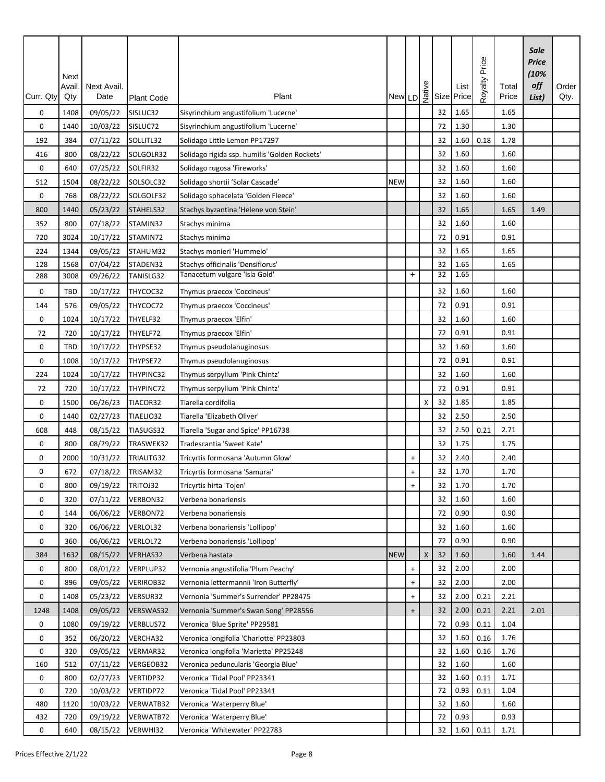| Curr. Qty | Next<br>Avail<br>Qty | Next Avail.<br>Date | <b>Plant Code</b> | Plant                                         |            |                                  |   |    | New LD $\frac{9}{2}$ Size Price | Price<br>Royalty | Total<br>Price | Sale<br>Price<br>(10%<br>off<br>List) | Order<br>Qty. |
|-----------|----------------------|---------------------|-------------------|-----------------------------------------------|------------|----------------------------------|---|----|---------------------------------|------------------|----------------|---------------------------------------|---------------|
| 0         | 1408                 | 09/05/22            | SISLUC32          | Sisyrinchium angustifolium 'Lucerne'          |            |                                  |   | 32 | 1.65                            |                  | 1.65           |                                       |               |
| 0         | 1440                 | 10/03/22            | SISLUC72          | Sisyrinchium angustifolium 'Lucerne'          |            |                                  |   | 72 | 1.30                            |                  | 1.30           |                                       |               |
| 192       | 384                  | 07/11/22            | SOLLITL32         | Solidago Little Lemon PP17297                 |            |                                  |   | 32 | 1.60                            | 0.18             | 1.78           |                                       |               |
| 416       | 800                  | 08/22/22            | SOLGOLR32         | Solidago rigida ssp. humilis 'Golden Rockets' |            |                                  |   | 32 | 1.60                            |                  | 1.60           |                                       |               |
| 0         | 640                  | 07/25/22            | SOLFIR32          | Solidago rugosa 'Fireworks'                   |            |                                  |   | 32 | 1.60                            |                  | 1.60           |                                       |               |
| 512       | 1504                 | 08/22/22            | SOLSOLC32         | Solidago shortii 'Solar Cascade'              | <b>NEW</b> |                                  |   | 32 | 1.60                            |                  | 1.60           |                                       |               |
| 0         | 768                  | 08/22/22            | SOLGOLF32         | Solidago sphacelata 'Golden Fleece'           |            |                                  |   | 32 | 1.60                            |                  | 1.60           |                                       |               |
| 800       | 1440                 | 05/23/22            | STAHELS32         | Stachys byzantina 'Helene von Stein'          |            |                                  |   | 32 | 1.65                            |                  | 1.65           | 1.49                                  |               |
| 352       | 800                  | 07/18/22            | STAMIN32          | Stachys minima                                |            |                                  |   | 32 | 1.60                            |                  | 1.60           |                                       |               |
| 720       | 3024                 | 10/17/22            | STAMIN72          | Stachys minima                                |            |                                  |   | 72 | 0.91                            |                  | 0.91           |                                       |               |
| 224       | 1344                 | 09/05/22            | STAHUM32          | Stachys monieri 'Hummelo'                     |            |                                  |   | 32 | 1.65                            |                  | 1.65           |                                       |               |
| 128       | 1568                 | 07/04/22            | STADEN32          | Stachys officinalis 'Densiflorus'             |            |                                  |   | 32 | 1.65                            |                  | 1.65           |                                       |               |
| 288       | 3008                 | 09/26/22            | TANISLG32         | Tanacetum vulgare 'Isla Gold'                 |            | $\ddot{}$                        |   | 32 | 1.65                            |                  |                |                                       |               |
| 0         | TBD                  | 10/17/22            | THYCOC32          | Thymus praecox 'Coccineus'                    |            |                                  |   | 32 | 1.60                            |                  | 1.60           |                                       |               |
| 144       | 576                  | 09/05/22            | THYCOC72          | Thymus praecox 'Coccineus'                    |            |                                  |   | 72 | 0.91                            |                  | 0.91           |                                       |               |
| 0         | 1024                 | 10/17/22            | THYELF32          | Thymus praecox 'Elfin'                        |            |                                  |   | 32 | 1.60                            |                  | 1.60           |                                       |               |
| 72        | 720                  | 10/17/22            | THYELF72          | Thymus praecox 'Elfin'                        |            |                                  |   | 72 | 0.91                            |                  | 0.91           |                                       |               |
| 0         | TBD                  | 10/17/22            | THYPSE32          | Thymus pseudolanuginosus                      |            |                                  |   | 32 | 1.60                            |                  | 1.60           |                                       |               |
| 0         | 1008                 | 10/17/22            | THYPSE72          | Thymus pseudolanuginosus                      |            |                                  |   | 72 | 0.91                            |                  | 0.91           |                                       |               |
| 224       | 1024                 | 10/17/22            | THYPINC32         | Thymus serpyllum 'Pink Chintz'                |            |                                  |   | 32 | 1.60                            |                  | 1.60           |                                       |               |
| 72        | 720                  | 10/17/22            | THYPINC72         | Thymus serpyllum 'Pink Chintz'                |            |                                  |   | 72 | 0.91                            |                  | 0.91           |                                       |               |
| 0         | 1500                 | 06/26/23            | TIACOR32          | Tiarella cordifolia                           |            |                                  | Х | 32 | 1.85                            |                  | 1.85           |                                       |               |
| 0         | 1440                 | 02/27/23            | TIAELIO32         | Tiarella 'Elizabeth Oliver'                   |            |                                  |   | 32 | 2.50                            |                  | 2.50           |                                       |               |
| 608       | 448                  | 08/15/22            | TIASUGS32         | Tiarella 'Sugar and Spice' PP16738            |            |                                  |   | 32 | 2.50                            | 0.21             | 2.71           |                                       |               |
| 0         | 800                  | 08/29/22            | TRASWEK32         | Tradescantia 'Sweet Kate'                     |            |                                  |   | 32 | 1.75                            |                  | 1.75           |                                       |               |
| 0         | 2000                 | 10/31/22            | TRIAUTG32         | Tricyrtis formosana 'Autumn Glow'             |            | $\begin{array}{c} + \end{array}$ |   | 32 | 2.40                            |                  | 2.40           |                                       |               |
| 0         | 672                  | 07/18/22            | TRISAM32          | Tricyrtis formosana 'Samurai'                 |            | $\begin{array}{c} + \end{array}$ |   | 32 | 1.70                            |                  | 1.70           |                                       |               |
| 0         | 800                  | 09/19/22            | TRITOJ32          | Tricyrtis hirta 'Tojen'                       |            | $\ddot{}$                        |   | 32 | 1.70                            |                  | 1.70           |                                       |               |
| 0         | 320                  | 07/11/22            | VERBON32          | Verbena bonariensis                           |            |                                  |   | 32 | 1.60                            |                  | 1.60           |                                       |               |
| 0         | 144                  | 06/06/22            | VERBON72          | Verbena bonariensis                           |            |                                  |   | 72 | 0.90                            |                  | 0.90           |                                       |               |
| 0         | 320                  | 06/06/22            | VERLOL32          | Verbena bonariensis 'Lollipop'                |            |                                  |   | 32 | 1.60                            |                  | 1.60           |                                       |               |
| 0         | 360                  | 06/06/22            | VERLOL72          | Verbena bonariensis 'Lollipop'                |            |                                  |   | 72 | 0.90                            |                  | 0.90           |                                       |               |
| 384       | 1632                 | 08/15/22            | VERHAS32          | Verbena hastata                               | <b>NEW</b> |                                  | X | 32 | 1.60                            |                  | 1.60           | 1.44                                  |               |
| 0         | 800                  | 08/01/22            | VERPLUP32         | Vernonia angustifolia 'Plum Peachy'           |            | $\begin{array}{c} + \end{array}$ |   | 32 | 2.00                            |                  | 2.00           |                                       |               |
| 0         | 896                  | 09/05/22            | <b>VERIROB32</b>  | Vernonia lettermannii 'Iron Butterfly'        |            | $\ddot{}$                        |   | 32 | 2.00                            |                  | 2.00           |                                       |               |
| 0         | 1408                 | 05/23/22            | VERSUR32          | Vernonia 'Summer's Surrender' PP28475         |            | $\begin{array}{c} + \end{array}$ |   | 32 | 2.00                            | 0.21             | 2.21           |                                       |               |
| 1248      | 1408                 | 09/05/22            | VERSWAS32         | Vernonia 'Summer's Swan Song' PP28556         |            | $\begin{array}{c} + \end{array}$ |   | 32 | 2.00                            | 0.21             | 2.21           | 2.01                                  |               |
| 0         | 1080                 | 09/19/22            | VERBLUS72         | Veronica 'Blue Sprite' PP29581                |            |                                  |   | 72 | 0.93                            | 0.11             | 1.04           |                                       |               |
| 0         | 352                  | 06/20/22            | VERCHA32          | Veronica longifolia 'Charlotte' PP23803       |            |                                  |   | 32 | 1.60                            | 0.16             | 1.76           |                                       |               |
| 0         | 320                  | 09/05/22            | VERMAR32          | Veronica longifolia 'Marietta' PP25248        |            |                                  |   | 32 | 1.60                            | 0.16             | 1.76           |                                       |               |
| 160       | 512                  | 07/11/22            | VERGEOB32         | Veronica peduncularis 'Georgia Blue'          |            |                                  |   | 32 | 1.60                            |                  | 1.60           |                                       |               |
| 0         | 800                  | 02/27/23            | VERTIDP32         | Veronica 'Tidal Pool' PP23341                 |            |                                  |   | 32 | 1.60                            | 0.11             | 1.71           |                                       |               |
| 0         | 720                  | 10/03/22            | VERTIDP72         | Veronica 'Tidal Pool' PP23341                 |            |                                  |   | 72 | 0.93                            | 0.11             | 1.04           |                                       |               |
| 480       | 1120                 | 10/03/22            | VERWATB32         | Veronica 'Waterperry Blue'                    |            |                                  |   | 32 | 1.60                            |                  | 1.60           |                                       |               |
| 432       | 720                  | 09/19/22            | VERWATB72         | Veronica 'Waterperry Blue'                    |            |                                  |   | 72 | 0.93                            |                  | 0.93           |                                       |               |
| 0         | 640                  | 08/15/22            | VERWHI32          | Veronica 'Whitewater' PP22783                 |            |                                  |   | 32 | 1.60                            | 0.11             | 1.71           |                                       |               |